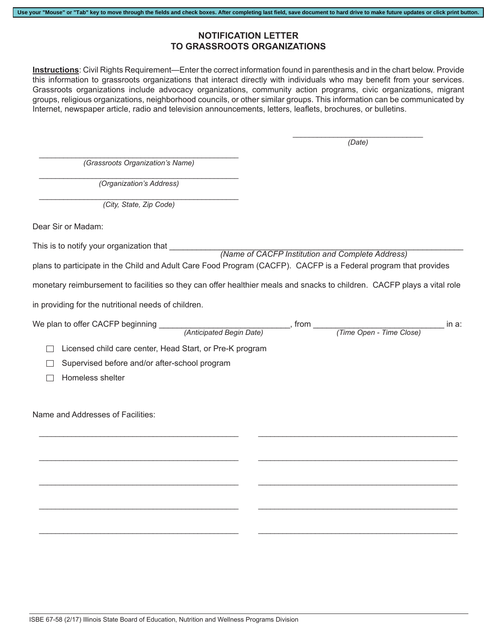## **NOTIFICATION LETTER TO GRASSROOTS ORGANIZATIONS**

**Use your "Mouse" or "Tab" key to move through the fields and check boxes. After completing last field, save document to hard drive to make future updates or click print button.**

**Instructions**: Civil Rights Requirement—Enter the correct information found in parenthesis and in the chart below. Provide this information to grassroots organizations that interact directly with individuals who may benefit from your services. Grassroots organizations include advocacy organizations, community action programs, civic organizations, migrant groups, religious organizations, neighborhood councils, or other similar groups. This information can be communicated by Internet, newspaper article, radio and television announcements, letters, leaflets, brochures, or bulletins.

> \_\_\_\_\_\_\_\_\_\_\_\_\_\_\_\_\_\_\_\_\_\_\_\_\_\_\_\_\_\_\_\_ *(Date)*

 $\overline{\phantom{a}}$  , and the contract of the contract of the contract of the contract of the contract of the contract of the contract of the contract of the contract of the contract of the contract of the contract of the contrac *(Grassroots Organization's Name)*

 $\mathcal{L}_\text{max}$  and  $\mathcal{L}_\text{max}$  and  $\mathcal{L}_\text{max}$  and  $\mathcal{L}_\text{max}$  and  $\mathcal{L}_\text{max}$ *(Organization's Address)*

 $\mathcal{L}_\text{max}$  and  $\mathcal{L}_\text{max}$  and  $\mathcal{L}_\text{max}$  and  $\mathcal{L}_\text{max}$  and  $\mathcal{L}_\text{max}$ *(City, State, Zip Code)*

Dear Sir or Madam:

This is to notify your organization that

 *(Name of CACFP Institution and Complete Address)*

plans to participate in the Child and Adult Care Food Program (CACFP). CACFP is a Federal program that provides

monetary reimbursement to facilities so they can offer healthier meals and snacks to children. CACFP plays a vital role

in providing for the nutritional needs of children.

|                                                                    |                          | , from |                          | in a: |
|--------------------------------------------------------------------|--------------------------|--------|--------------------------|-------|
|                                                                    | (Anticipated Begin Date) |        | (Time Open - Time Close) |       |
| Licensed child care center, Head Start, or Pre-K program<br>$\Box$ |                          |        |                          |       |
| Supervised before and/or after-school program<br>$\blacksquare$    |                          |        |                          |       |
| Homeless shelter                                                   |                          |        |                          |       |
|                                                                    |                          |        |                          |       |
| Name and Addresses of Facilities:                                  |                          |        |                          |       |
|                                                                    |                          |        |                          |       |
|                                                                    |                          |        |                          |       |
|                                                                    |                          |        |                          |       |
|                                                                    |                          |        |                          |       |
|                                                                    |                          |        |                          |       |
|                                                                    |                          |        |                          |       |
|                                                                    |                          |        |                          |       |
|                                                                    |                          |        |                          |       |
|                                                                    |                          |        |                          |       |
|                                                                    |                          |        |                          |       |